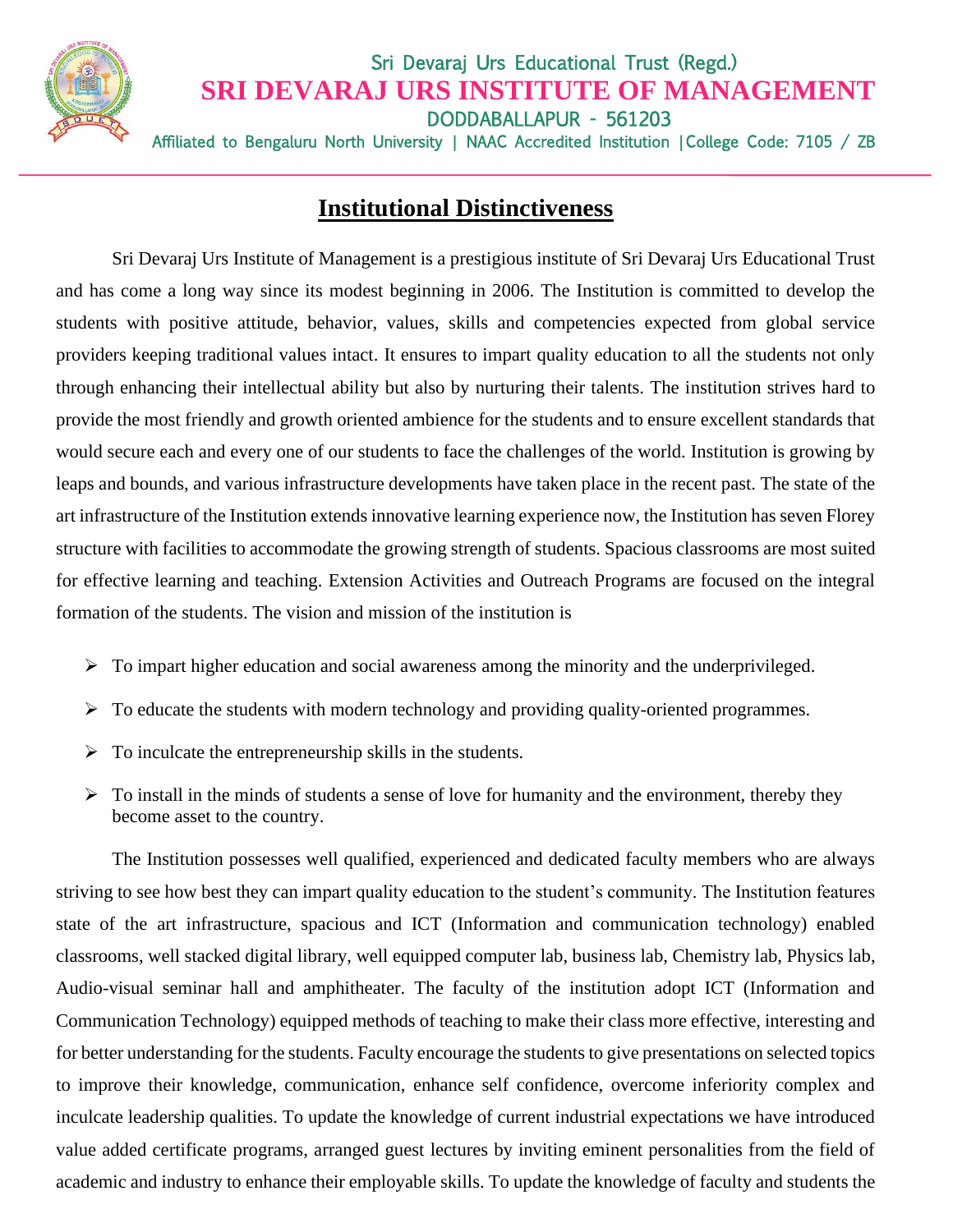

## Sri Devaraj Urs Educational Trust (Regd.) **SRI DEVARAJ URS INSTITUTE OF MANAGEMENT** DODDABALLAPUR - 561203 Affiliated to Bengaluru North University | NAAC Accredited Institution | College Code: 7105 / ZB

## **Institutional Distinctiveness**

Sri Devaraj Urs Institute of Management is a prestigious institute of Sri Devaraj Urs Educational Trust and has come a long way since its modest beginning in 2006. The Institution is committed to develop the students with positive attitude, behavior, values, skills and competencies expected from global service providers keeping traditional values intact. It ensures to impart quality education to all the students not only through enhancing their intellectual ability but also by nurturing their talents. The institution strives hard to provide the most friendly and growth oriented ambience for the students and to ensure excellent standards that would secure each and every one of our students to face the challenges of the world. Institution is growing by leaps and bounds, and various infrastructure developments have taken place in the recent past. The state of the art infrastructure of the Institution extends innovative learning experience now, the Institution has seven Florey structure with facilities to accommodate the growing strength of students. Spacious classrooms are most suited for effective learning and teaching. Extension Activities and Outreach Programs are focused on the integral formation of the students. The vision and mission of the institution is

- ➢ To impart higher education and social awareness among the minority and the underprivileged.
- ➢ To educate the students with modern technology and providing quality-oriented programmes.
- $\triangleright$  To inculcate the entrepreneurship skills in the students.
- $\triangleright$  To install in the minds of students a sense of love for humanity and the environment, thereby they become asset to the country.

The Institution possesses well qualified, experienced and dedicated faculty members who are always striving to see how best they can impart quality education to the student's community. The Institution features state of the art infrastructure, spacious and ICT (Information and communication technology) enabled classrooms, well stacked digital library, well equipped computer lab, business lab, Chemistry lab, Physics lab, Audio-visual seminar hall and amphitheater. The faculty of the institution adopt ICT (Information and Communication Technology) equipped methods of teaching to make their class more effective, interesting and for better understanding for the students. Faculty encourage the students to give presentations on selected topics to improve their knowledge, communication, enhance self confidence, overcome inferiority complex and inculcate leadership qualities. To update the knowledge of current industrial expectations we have introduced value added certificate programs, arranged guest lectures by inviting eminent personalities from the field of academic and industry to enhance their employable skills. To update the knowledge of faculty and students the